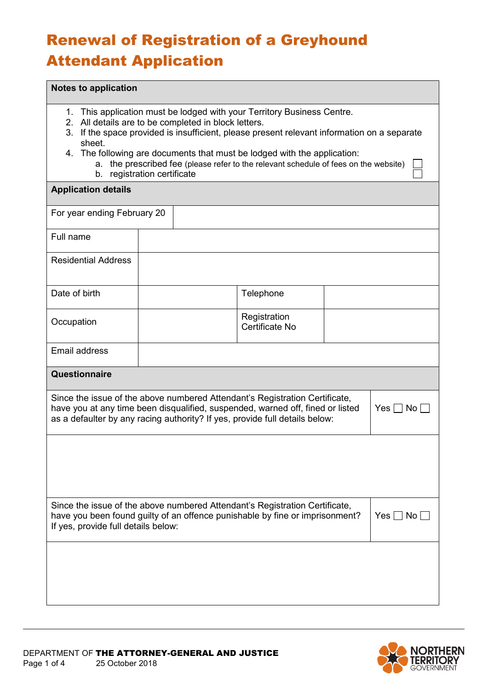## Renewal of Registration of a Greyhound Attendant Application

## **Notes to application**

- 1. This application must be lodged with your Territory Business Centre.
- 2. All details are to be completed in block letters.
- 3. If the space provided is insufficient, please present relevant information on a separate sheet.
- 4. The following are documents that must be lodged with the application:
	- a. the prescribed fee (please refer to the relevant schedule of fees on the website) b. registration certificate

## **Application details**

| For year ending February 20                                                                                                                                                                                                                                          |  |                                |  |  |
|----------------------------------------------------------------------------------------------------------------------------------------------------------------------------------------------------------------------------------------------------------------------|--|--------------------------------|--|--|
| Full name                                                                                                                                                                                                                                                            |  |                                |  |  |
| <b>Residential Address</b>                                                                                                                                                                                                                                           |  |                                |  |  |
| Date of birth                                                                                                                                                                                                                                                        |  | Telephone                      |  |  |
| Occupation                                                                                                                                                                                                                                                           |  | Registration<br>Certificate No |  |  |
| Email address                                                                                                                                                                                                                                                        |  |                                |  |  |
| Questionnaire                                                                                                                                                                                                                                                        |  |                                |  |  |
| Since the issue of the above numbered Attendant's Registration Certificate,<br>have you at any time been disqualified, suspended, warned off, fined or listed<br>Yes $\Box$ No $\Box$<br>as a defaulter by any racing authority? If yes, provide full details below: |  |                                |  |  |
|                                                                                                                                                                                                                                                                      |  |                                |  |  |
|                                                                                                                                                                                                                                                                      |  |                                |  |  |
| Since the issue of the above numbered Attendant's Registration Certificate,<br>have you been found guilty of an offence punishable by fine or imprisonment?<br>Yes $\Box$ No $\Box$<br>If yes, provide full details below:                                           |  |                                |  |  |
|                                                                                                                                                                                                                                                                      |  |                                |  |  |
|                                                                                                                                                                                                                                                                      |  |                                |  |  |
|                                                                                                                                                                                                                                                                      |  |                                |  |  |



 $\Box$  $\Box$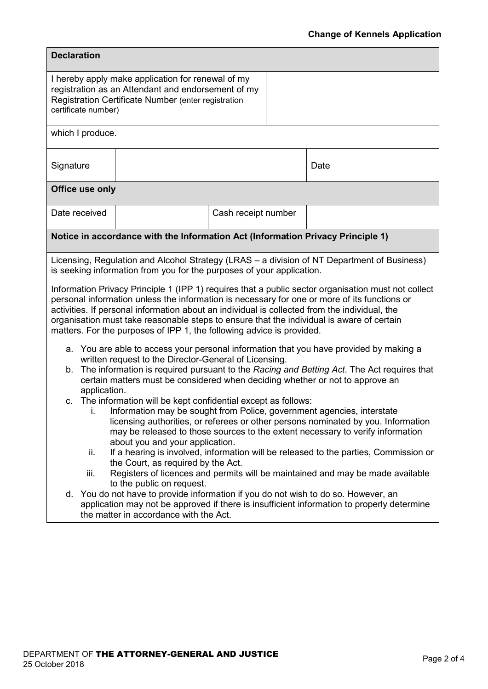| <b>Declaration</b>                                                                                                                                                                                                                                                                                                                                                                                                                                                                                                                                                                                                                                                                                                                                                                                                                                                                                                                                                                                                                                                                                                                                                                                                                                                                                                                                                                                                                                                                                                                                                                                                                                                                                                                                                                                                                                               |                                                                                 |                     |      |  |
|------------------------------------------------------------------------------------------------------------------------------------------------------------------------------------------------------------------------------------------------------------------------------------------------------------------------------------------------------------------------------------------------------------------------------------------------------------------------------------------------------------------------------------------------------------------------------------------------------------------------------------------------------------------------------------------------------------------------------------------------------------------------------------------------------------------------------------------------------------------------------------------------------------------------------------------------------------------------------------------------------------------------------------------------------------------------------------------------------------------------------------------------------------------------------------------------------------------------------------------------------------------------------------------------------------------------------------------------------------------------------------------------------------------------------------------------------------------------------------------------------------------------------------------------------------------------------------------------------------------------------------------------------------------------------------------------------------------------------------------------------------------------------------------------------------------------------------------------------------------|---------------------------------------------------------------------------------|---------------------|------|--|
| I hereby apply make application for renewal of my<br>registration as an Attendant and endorsement of my<br>Registration Certificate Number (enter registration<br>certificate number)                                                                                                                                                                                                                                                                                                                                                                                                                                                                                                                                                                                                                                                                                                                                                                                                                                                                                                                                                                                                                                                                                                                                                                                                                                                                                                                                                                                                                                                                                                                                                                                                                                                                            |                                                                                 |                     |      |  |
| which I produce.                                                                                                                                                                                                                                                                                                                                                                                                                                                                                                                                                                                                                                                                                                                                                                                                                                                                                                                                                                                                                                                                                                                                                                                                                                                                                                                                                                                                                                                                                                                                                                                                                                                                                                                                                                                                                                                 |                                                                                 |                     |      |  |
| Signature                                                                                                                                                                                                                                                                                                                                                                                                                                                                                                                                                                                                                                                                                                                                                                                                                                                                                                                                                                                                                                                                                                                                                                                                                                                                                                                                                                                                                                                                                                                                                                                                                                                                                                                                                                                                                                                        |                                                                                 |                     | Date |  |
| Office use only                                                                                                                                                                                                                                                                                                                                                                                                                                                                                                                                                                                                                                                                                                                                                                                                                                                                                                                                                                                                                                                                                                                                                                                                                                                                                                                                                                                                                                                                                                                                                                                                                                                                                                                                                                                                                                                  |                                                                                 |                     |      |  |
| Date received                                                                                                                                                                                                                                                                                                                                                                                                                                                                                                                                                                                                                                                                                                                                                                                                                                                                                                                                                                                                                                                                                                                                                                                                                                                                                                                                                                                                                                                                                                                                                                                                                                                                                                                                                                                                                                                    |                                                                                 | Cash receipt number |      |  |
|                                                                                                                                                                                                                                                                                                                                                                                                                                                                                                                                                                                                                                                                                                                                                                                                                                                                                                                                                                                                                                                                                                                                                                                                                                                                                                                                                                                                                                                                                                                                                                                                                                                                                                                                                                                                                                                                  | Notice in accordance with the Information Act (Information Privacy Principle 1) |                     |      |  |
| Licensing, Regulation and Alcohol Strategy (LRAS – a division of NT Department of Business)<br>is seeking information from you for the purposes of your application.<br>Information Privacy Principle 1 (IPP 1) requires that a public sector organisation must not collect<br>personal information unless the information is necessary for one or more of its functions or<br>activities. If personal information about an individual is collected from the individual, the<br>organisation must take reasonable steps to ensure that the individual is aware of certain<br>matters. For the purposes of IPP 1, the following advice is provided.<br>a. You are able to access your personal information that you have provided by making a<br>written request to the Director-General of Licensing.<br>The information is required pursuant to the Racing and Betting Act. The Act requires that<br>b.<br>certain matters must be considered when deciding whether or not to approve an<br>application.<br>c. The information will be kept confidential except as follows:<br>Information may be sought from Police, government agencies, interstate<br>L.<br>licensing authorities, or referees or other persons nominated by you. Information<br>may be released to those sources to the extent necessary to verify information<br>about you and your application.<br>If a hearing is involved, information will be released to the parties, Commission or<br>ii.<br>the Court, as required by the Act.<br>Registers of licences and permits will be maintained and may be made available<br>iii.<br>to the public on request.<br>d. You do not have to provide information if you do not wish to do so. However, an<br>application may not be approved if there is insufficient information to properly determine<br>the matter in accordance with the Act. |                                                                                 |                     |      |  |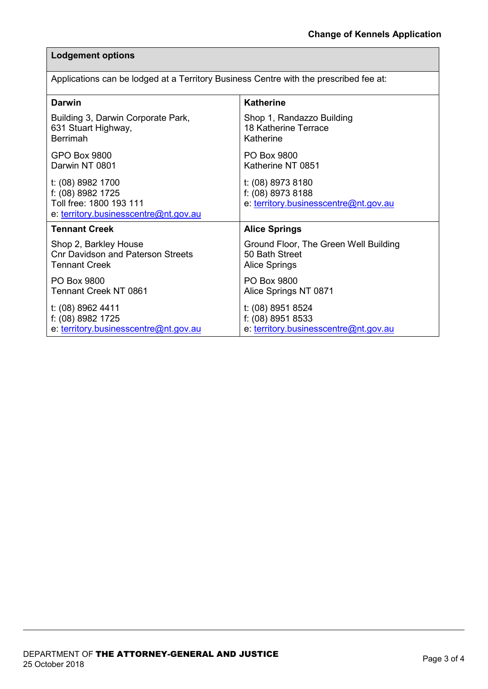## **Lodgement options**

|  | Applications can be lodged at a Territory Business Centre with the prescribed fee at: |  |
|--|---------------------------------------------------------------------------------------|--|
|  |                                                                                       |  |

| <b>Darwin</b>                                                                                              | <b>Katherine</b>                                                                |
|------------------------------------------------------------------------------------------------------------|---------------------------------------------------------------------------------|
| Building 3, Darwin Corporate Park,                                                                         | Shop 1, Randazzo Building                                                       |
| 631 Stuart Highway,                                                                                        | 18 Katherine Terrace                                                            |
| <b>Berrimah</b>                                                                                            | Katherine                                                                       |
| GPO Box 9800                                                                                               | PO Box 9800                                                                     |
| Darwin NT 0801                                                                                             | Katherine NT 0851                                                               |
| t: (08) 8982 1700<br>f: (08) 8982 1725<br>Toll free: 1800 193 111<br>e: territory.businesscentre@nt.gov.au | t: (08) 8973 8180<br>f: (08) 8973 8188<br>e: territory.businesscentre@nt.gov.au |
| <b>Tennant Creek</b>                                                                                       | <b>Alice Springs</b>                                                            |
| Shop 2, Barkley House                                                                                      | Ground Floor, The Green Well Building                                           |
| <b>Cnr Davidson and Paterson Streets</b>                                                                   | 50 Bath Street                                                                  |
| <b>Tennant Creek</b>                                                                                       | <b>Alice Springs</b>                                                            |
| PO Box 9800                                                                                                | PO Box 9800                                                                     |
| Tennant Creek NT 0861                                                                                      | Alice Springs NT 0871                                                           |
| t: (08) 8962 4411                                                                                          | t: (08) 8951 8524                                                               |
| f: (08) 8982 1725                                                                                          | f: (08) 8951 8533                                                               |
| e: territory.businesscentre@nt.gov.au                                                                      | e: territory.businesscentre@nt.gov.au                                           |